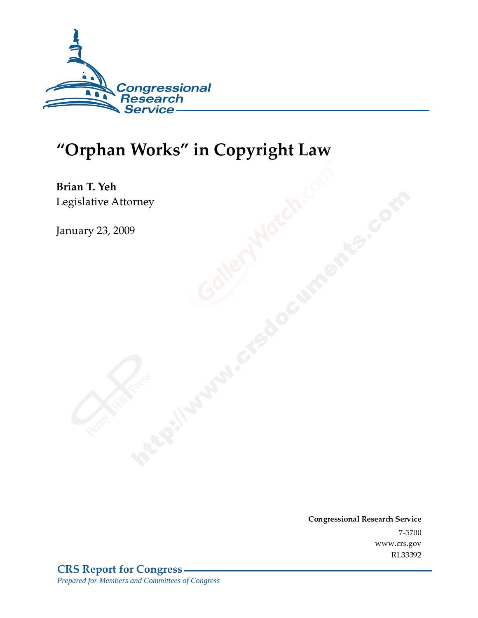

# "Orphan Works" in Copyright Law

Brian T. Yeh Legislative Attorney

**January 23, 2009** 

Conglessional Research Service  $7 - 2700$ www.crs.gov RL33392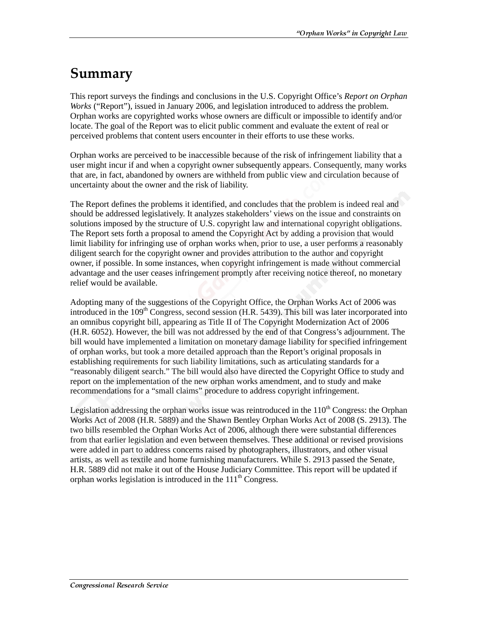# Summary

This report surveys the findings and conclusions in the U.S. Copyright Office's *Report on Orphan Works* ("Report"), issued in January 2006, and legislation introduced to address the problem. Orphan works are copyrighted works whose owners are difficult or impossible to identify and/or locate. The goal of the Report was to elicit public comment and evaluate the extent of real or perceived problems that content users encounter in their efforts to use these works.

Orphan works are perceived to be inaccessible because of the risk of infringement liability that a user might incur if and when a copyright owner subsequently appears. Consequently, many works that are, in fact, abandoned by owners are withheld from public view and circulation because of uncertainty about the owner and the risk of liability.

The Report defines the problems it identified, and concludes that the problem is indeed real and should be addressed legislatively. It analyzes stakeholders' views on the issue and constraints on solutions imposed by the structure of U.S. copyright law and international copyright obligations. The Report sets forth a proposal to amend the Copyright Act by adding a provision that would limit liability for infringing use of orphan works when, prior to use, a user performs a reasonably diligent search for the copyright owner and provides attribution to the author and copyright owner, if possible. In some instances, when copyright infringement is made without commercial advantage and the user ceases infringement promptly after receiving notice thereof, no monetary relief would be available.

Adopting many of the suggestions of the Copyright Office, the Orphan Works Act of 2006 was introduced in the  $109<sup>th</sup>$  Congress, second session (H.R. 5439). This bill was later incorporated into an omnibus copyright bill, appearing as Title II of The Copyright Modernization Act of 2006 (H.R. 6052). However, the bill was not addressed by the end of that Congress's adjournment. The bill would have implemented a limitation on monetary damage liability for specified infringement of orphan works, but took a more detailed approach than the Report's original proposals in establishing requirements for such liability limitations, such as articulating standards for a "reasonably diligent search." The bill would also have directed the Copyright Office to study and report on the implementation of the new orphan works amendment, and to study and make recommendations for a "small claims" procedure to address copyright infringement.

Legislation addressing the orphan works issue was reintroduced in the  $110<sup>th</sup>$  Congress: the Orphan Works Act of 2008 (H.R. 5889) and the Shawn Bentley Orphan Works Act of 2008 (S. 2913). The two bills resembled the Orphan Works Act of 2006, although there were substantial differences from that earlier legislation and even between themselves. These additional or revised provisions were added in part to address concerns raised by photographers, illustrators, and other visual artists, as well as textile and home furnishing manufacturers. While S. 2913 passed the Senate, H.R. 5889 did not make it out of the House Judiciary Committee. This report will be updated if orphan works legislation is introduced in the  $111<sup>th</sup>$  Congress.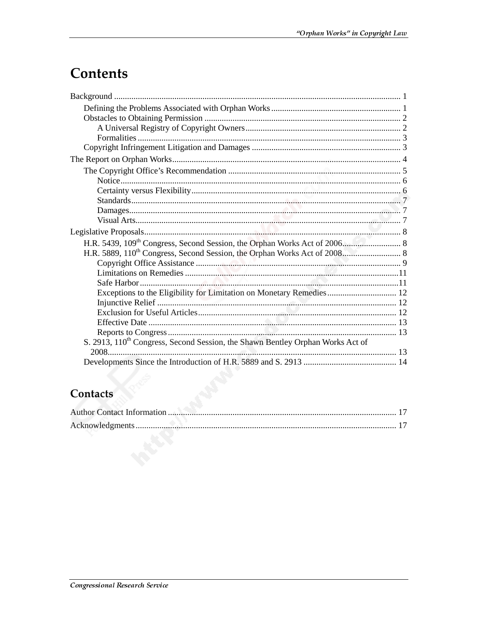# **Contents**

| Exceptions to the Eligibility for Limitation on Monetary Remedies 12                       |  |
|--------------------------------------------------------------------------------------------|--|
|                                                                                            |  |
|                                                                                            |  |
|                                                                                            |  |
|                                                                                            |  |
| S. 2913, 110 <sup>th</sup> Congress, Second Session, the Shawn Bentley Orphan Works Act of |  |
|                                                                                            |  |
|                                                                                            |  |

# Contacts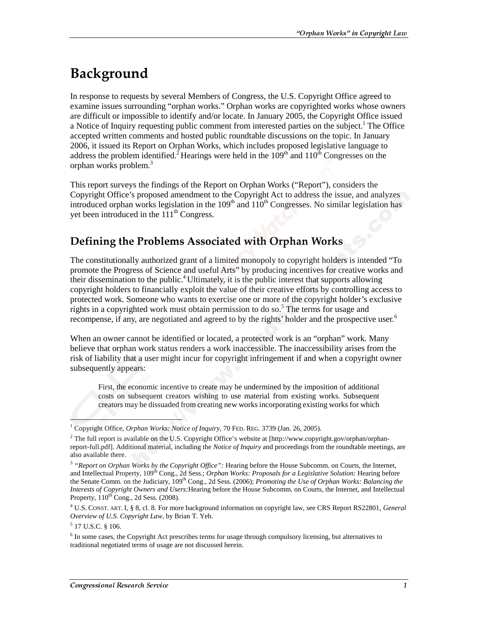# Background

In response to requests by several Members of Congress, the U.S. Copyright Office agreed to examine issues surrounding "orphan works." Orphan works are copyrighted works whose owners are difficult or impossible to identify and/or locate. In January 2005, the Copyright Office issued a Notice of Inquiry requesting public comment from interested parties on the subject.<sup>1</sup> The Office accepted written comments and hosted public roundtable discussions on the topic. In January 2006, it issued its Report on Orphan Works, which includes proposed legislative language to address the problem identified.<sup>2</sup> Hearings were held in the  $109<sup>th</sup>$  and  $110<sup>th</sup>$  Congresses on the orphan works problem.<sup>3</sup>

This report surveys the findings of the Report on Orphan Works ("Report"), considers the Copyright Office's proposed amendment to the Copyright Act to address the issue, and analyzes introduced orphan works legislation in the 109<sup>th</sup> and 110<sup>th</sup> Congresses. No similar legislation has yet been introduced in the  $111<sup>th</sup> Congress$ .

# Defining the Problems Associated with Orphan Works

The constitutionally authorized grant of a limited monopoly to copyright holders is intended "To promote the Progress of Science and useful Arts" by producing incentives for creative works and their dissemination to the public.<sup>4</sup> Ultimately, it is the public interest that supports allowing copyright holders to financially exploit the value of their creative efforts by controlling access to protected work. Someone who wants to exercise one or more of the copyright holder's exclusive rights in a copyrighted work must obtain permission to do so.<sup>5</sup> The terms for usage and recompense, if any, are negotiated and agreed to by the rights' holder and the prospective user.<sup>6</sup>

When an owner cannot be identified or located, a protected work is an "orphan" work. Many believe that orphan work status renders a work inaccessible. The inaccessibility arises from the risk of liability that a user might incur for copyright infringement if and when a copyright owner subsequently appears:

First, the economic incentive to create may be undermined by the imposition of additional costs on subsequent creators wishing to use material from existing works. Subsequent creators may be dissuaded from creating new works incorporating existing works for which

ł

<sup>&</sup>lt;sup>1</sup> Copyright Office, Orphan Works: Notice of Inquiry, 70 FED. REG. 3739 (Jan. 26, 2005).

<sup>&</sup>lt;sup>2</sup> The full report is available on the U.S. Copyright Office's website at [http://www.copyright.gov/orphan/orphanreport-full.pdf]. Additional material, including the *Notice of Inquiry* and proceedings from the roundtable meetings, are also available there.

<sup>3</sup> *"Report on Orphan Works by the Copyright Office":* Hearing before the House Subcomm. on Courts, the Internet, and Intellectual Property, 109<sup>th</sup> Cong., 2d Sess.; *Orphan Works: Proposals for a Legislative Solution:* Hearing before the Senate Comm. on the Judiciary, 109th Cong., 2d Sess. (2006); *Promoting the Use of Orphan Works: Balancing the Interests of Copyright Owners and Users:*Hearing before the House Subcomm. on Courts, the Internet, and Intellectual Property, 110<sup>th</sup> Cong., 2d Sess. (2008).

<sup>4</sup> U.S. CONST. ART. I, § 8, cl. 8. For more background information on copyright law, see CRS Report RS22801, *General Overview of U.S. Copyright Law*, by Brian T. Yeh.

<sup>5</sup> 17 U.S.C. § 106.

<sup>&</sup>lt;sup>6</sup> In some cases, the Copyright Act prescribes terms for usage through compulsory licensing, but alternatives to traditional negotiated terms of usage are not discussed herein.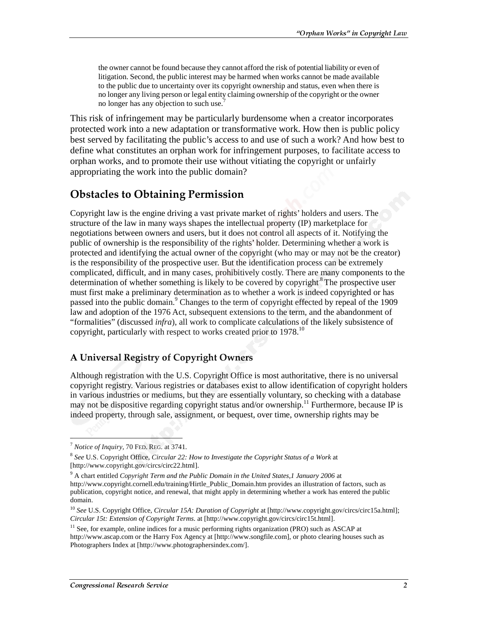the owner cannot be found because they cannot afford the risk of potential liability or even of litigation. Second, the public interest may be harmed when works cannot be made available to the public due to uncertainty over its copyright ownership and status, even when there is no longer any living person or legal entity claiming ownership of the copyright or the owner no longer has any objection to such use.<sup>7</sup>

This risk of infringement may be particularly burdensome when a creator incorporates protected work into a new adaptation or transformative work. How then is public policy best served by facilitating the public's access to and use of such a work? And how best to define what constitutes an orphan work for infringement purposes, to facilitate access to orphan works, and to promote their use without vitiating the copyright or unfairly appropriating the work into the public domain?

### **Obstacles to Obtaining Permission**

Copyright law is the engine driving a vast private market of rights' holders and users. The structure of the law in many ways shapes the intellectual property (IP) marketplace for negotiations between owners and users, but it does not control all aspects of it. Notifying the public of ownership is the responsibility of the rights' holder. Determining whether a work is protected and identifying the actual owner of the copyright (who may or may not be the creator) is the responsibility of the prospective user. But the identification process can be extremely complicated, difficult, and in many cases, prohibitively costly. There are many components to the determination of whether something is likely to be covered by copyright.<sup>8</sup> The prospective user must first make a preliminary determination as to whether a work is indeed copyrighted or has passed into the public domain.<sup>9</sup> Changes to the term of copyright effected by repeal of the 1909 law and adoption of the 1976 Act, subsequent extensions to the term, and the abandonment of "formalities" (discussed *infra*), all work to complicate calculations of the likely subsistence of copyright, particularly with respect to works created prior to 1978.<sup>10</sup>

### A Universal Registry of Copyright Owners

Although registration with the U.S. Copyright Office is most authoritative, there is no universal copyright registry. Various registries or databases exist to allow identification of copyright holders in various industries or mediums, but they are essentially voluntary, so checking with a database may not be dispositive regarding copyright status and/or ownership.<sup>11</sup> Furthermore, because IP is indeed property, through sale, assignment, or bequest, over time, ownership rights may be

<sup>7</sup> *Notice of Inquiry,* 70 FED. REG. at 3741.

<sup>8</sup> *See* U.S. Copyright Office, *Circular 22: How to Investigate the Copyright Status of a Work* at [http://www.copyright.gov/circs/circ22.html].

<sup>9</sup> A chart entitled *Copyright Term and the Public Domain in the United States,1 January 2006* at http://www.copyright.cornell.edu/training/Hirtle\_Public\_Domain.htm provides an illustration of factors, such as publication, copyright notice, and renewal, that might apply in determining whether a work has entered the public domain.

<sup>&</sup>lt;sup>10</sup> See U.S. Copyright Office, *Circular 15A: Duration of Copyright* at [http://www.copyright.gov/circs/circ15a.html]; *Circular 15t: Extension of Copyright Terms*. at [http://www.copyright.gov/circs/circ15t.html].

<sup>&</sup>lt;sup>11</sup> See, for example, online indices for a music performing rights organization (PRO) such as ASCAP at http://www.ascap.com or the Harry Fox Agency at [http://www.songfile.com], or photo clearing houses such as Photographers Index at [http://www.photographersindex.com/].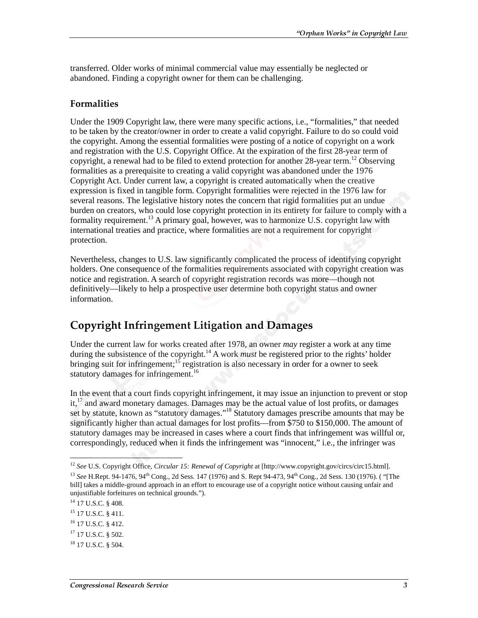transferred. Older works of minimal commercial value may essentially be neglected or abandoned. Finding a copyright owner for them can be challenging.

#### **Formalities**

Under the 1909 Copyright law, there were many specific actions, i.e., "formalities," that needed to be taken by the creator/owner in order to create a valid copyright. Failure to do so could void the copyright. Among the essential formalities were posting of a notice of copyright on a work and registration with the U.S. Copyright Office. At the expiration of the first 28-year term of copyright, a renewal had to be filed to extend protection for another 28-year term.<sup>12</sup> Observing formalities as a prerequisite to creating a valid copyright was abandoned under the 1976 Copyright Act. Under current law, a copyright is created automatically when the creative expression is fixed in tangible form. Copyright formalities were rejected in the 1976 law for several reasons. The legislative history notes the concern that rigid formalities put an undue burden on creators, who could lose copyright protection in its entirety for failure to comply with a formality requirement.<sup>13</sup> A primary goal, however, was to harmonize U.S. copyright law with international treaties and practice, where formalities are not a requirement for copyright protection.

Nevertheless, changes to U.S. law significantly complicated the process of identifying copyright holders. One consequence of the formalities requirements associated with copyright creation was notice and registration. A search of copyright registration records was more—though not definitively—likely to help a prospective user determine both copyright status and owner information.

# **Copyright Infringement Litigation and Damages**

Under the current law for works created after 1978, an owner *may* register a work at any time during the subsistence of the copyright.<sup>14</sup> A work *must* be registered prior to the rights' holder bringing suit for infringement;  $15$  registration is also necessary in order for a owner to seek statutory damages for infringement.<sup>16</sup>

In the event that a court finds copyright infringement, it may issue an injunction to prevent or stop it, $17$  and award monetary damages. Damages may be the actual value of lost profits, or damages set by statute, known as "statutory damages."<sup>18</sup> Statutory damages prescribe amounts that may be significantly higher than actual damages for lost profits—from \$750 to \$150,000. The amount of statutory damages may be increased in cases where a court finds that infringement was willful or, correspondingly, reduced when it finds the infringement was "innocent," i.e., the infringer was

<sup>12</sup> *See* U.S. Copyright Office, *Circular 15: Renewal of Copyright* at [http://www.copyright.gov/circs/circ15.html].

<sup>&</sup>lt;sup>13</sup> See H.Rept. 94-1476, 94<sup>th</sup> Cong., 2d Sess. 147 (1976) and S. Rept 94-473, 94<sup>th</sup> Cong., 2d Sess. 130 (1976). ( "[The bill] takes a middle-ground approach in an effort to encourage use of a copyright notice without causing unfair and unjustifiable forfeitures on technical grounds.").

<sup>&</sup>lt;sup>14</sup> 17 U.S.C. § 408.

<sup>&</sup>lt;sup>15</sup> 17 U.S.C. § 411.

<sup>16 17</sup> U.S.C. § 412.

 $17$  17 U.S.C.  $8$  502.

<sup>18 17</sup> U.S.C. § 504.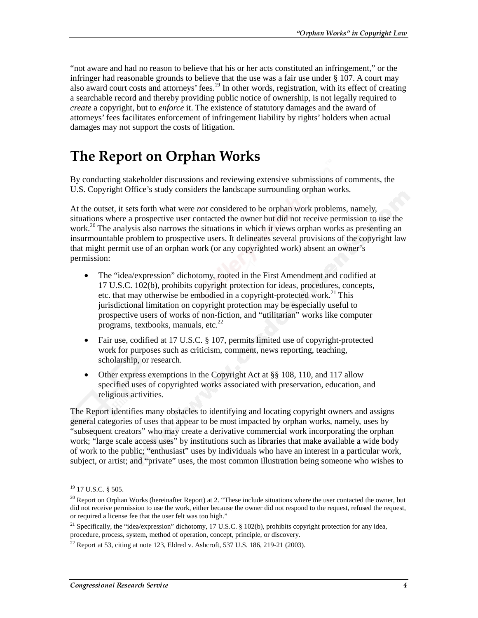"not aware and had no reason to believe that his or her acts constituted an infringement," or the infringer had reasonable grounds to believe that the use was a fair use under § 107. A court may also award court costs and attorneys' fees.<sup>19</sup> In other words, registration, with its effect of creating a searchable record and thereby providing public notice of ownership, is not legally required to *create* a copyright, but to *enforce* it. The existence of statutory damages and the award of attorneys' fees facilitates enforcement of infringement liability by rights' holders when actual damages may not support the costs of litigation.

# The Report on Orphan Works

By conducting stakeholder discussions and reviewing extensive submissions of comments, the U.S. Copyright Office's study considers the landscape surrounding orphan works.

At the outset, it sets forth what were *not* considered to be orphan work problems, namely, situations where a prospective user contacted the owner but did not receive permission to use the work.<sup>20</sup> The analysis also narrows the situations in which it views orphan works as presenting an insurmountable problem to prospective users. It delineates several provisions of the copyright law that might permit use of an orphan work (or any copyrighted work) absent an owner's permission:

- The "idea/expression" dichotomy, rooted in the First Amendment and codified at 17 U.S.C. 102(b), prohibits copyright protection for ideas, procedures, concepts, etc. that may otherwise be embodied in a copyright-protected work.<sup>21</sup> This jurisdictional limitation on copyright protection may be especially useful to prospective users of works of non-fiction, and "utilitarian" works like computer programs, textbooks, manuals, etc. $^{22}$
- Fair use, codified at 17 U.S.C. § 107, permits limited use of copyright-protected work for purposes such as criticism, comment, news reporting, teaching, scholarship, or research.
- Other express exemptions in the Copyright Act at §§ 108, 110, and 117 allow specified uses of copyrighted works associated with preservation, education, and religious activities.

The Report identifies many obstacles to identifying and locating copyright owners and assigns general categories of uses that appear to be most impacted by orphan works, namely, uses by "subsequent creators" who may create a derivative commercial work incorporating the orphan work; "large scale access uses" by institutions such as libraries that make available a wide body of work to the public; "enthusiast" uses by individuals who have an interest in a particular work, subject, or artist; and "private" uses, the most common illustration being someone who wishes to

 $19$  17 U.S.C. § 505.

 $^{20}$  Report on Orphan Works (hereinafter Report) at 2. "These include situations where the user contacted the owner, but did not receive permission to use the work, either because the owner did not respond to the request, refused the request, or required a license fee that the user felt was too high."

<sup>&</sup>lt;sup>21</sup> Specifically, the "idea/expression" dichotomy, 17 U.S.C. § 102(b), prohibits copyright protection for any idea, procedure, process, system, method of operation, concept, principle, or discovery.

<sup>&</sup>lt;sup>22</sup> Report at 53, citing at note 123, Eldred v. Ashcroft, 537 U.S. 186, 219-21 (2003).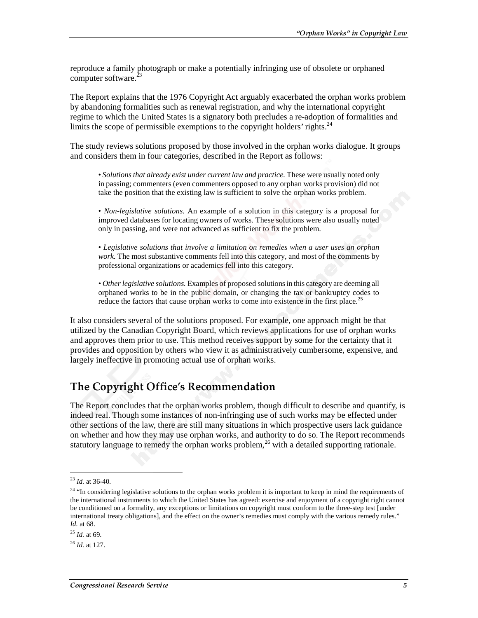reproduce a family photograph or make a potentially infringing use of obsolete or orphaned computer software.<sup>2</sup>

The Report explains that the 1976 Copyright Act arguably exacerbated the orphan works problem by abandoning formalities such as renewal registration, and why the international copyright regime to which the United States is a signatory both precludes a re-adoption of formalities and limits the scope of permissible exemptions to the copyright holders' rights.<sup>24</sup>

The study reviews solutions proposed by those involved in the orphan works dialogue. It groups and considers them in four categories, described in the Report as follows:

• *Solutions that already exist under current law and practice.* These were usually noted only in passing; commenters (even commenters opposed to any orphan works provision) did not take the position that the existing law is sufficient to solve the orphan works problem.

• *Non-legislative solutions.* An example of a solution in this category is a proposal for improved databases for locating owners of works. These solutions were also usually noted only in passing, and were not advanced as sufficient to fix the problem.

• *Legislative solutions that involve a limitation on remedies when a user uses an orphan work.* The most substantive comments fell into this category, and most of the comments by professional organizations or academics fell into this category.

*• Other legislative solutions.* Examples of proposed solutions in this category are deeming all orphaned works to be in the public domain, or changing the tax or bankruptcy codes to reduce the factors that cause orphan works to come into existence in the first place.<sup>25</sup>

It also considers several of the solutions proposed. For example, one approach might be that utilized by the Canadian Copyright Board, which reviews applications for use of orphan works and approves them prior to use. This method receives support by some for the certainty that it provides and opposition by others who view it as administratively cumbersome, expensive, and largely ineffective in promoting actual use of orphan works.

# The Copyright Office's Recommendation

The Report concludes that the orphan works problem, though difficult to describe and quantify, is indeed real. Though some instances of non-infringing use of such works may be effected under other sections of the law, there are still many situations in which prospective users lack guidance on whether and how they may use orphan works, and authority to do so. The Report recommends statutory language to remedy the orphan works problem,<sup>26</sup> with a detailed supporting rationale.

<sup>23</sup> *Id.* at 36-40.

 $24$  "In considering legislative solutions to the orphan works problem it is important to keep in mind the requirements of the international instruments to which the United States has agreed: exercise and enjoyment of a copyright right cannot be conditioned on a formality, any exceptions or limitations on copyright must conform to the three-step test [under international treaty obligations], and the effect on the owner's remedies must comply with the various remedy rules." *Id.* at 68.

<sup>25</sup> *Id.* at 69.

<sup>26</sup> *Id.* at 127.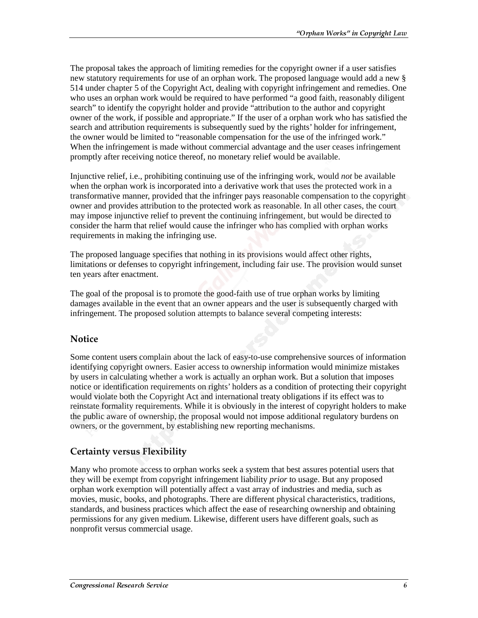The proposal takes the approach of limiting remedies for the copyright owner if a user satisfies new statutory requirements for use of an orphan work. The proposed language would add a new § 514 under chapter 5 of the Copyright Act, dealing with copyright infringement and remedies. One who uses an orphan work would be required to have performed "a good faith, reasonably diligent search" to identify the copyright holder and provide "attribution to the author and copyright owner of the work, if possible and appropriate." If the user of a orphan work who has satisfied the search and attribution requirements is subsequently sued by the rights' holder for infringement, the owner would be limited to "reasonable compensation for the use of the infringed work." When the infringement is made without commercial advantage and the user ceases infringement promptly after receiving notice thereof, no monetary relief would be available.

Injunctive relief, i.e., prohibiting continuing use of the infringing work, would *not* be available when the orphan work is incorporated into a derivative work that uses the protected work in a transformative manner, provided that the infringer pays reasonable compensation to the copyright owner and provides attribution to the protected work as reasonable. In all other cases, the court may impose injunctive relief to prevent the continuing infringement, but would be directed to consider the harm that relief would cause the infringer who has complied with orphan works requirements in making the infringing use.

The proposed language specifies that nothing in its provisions would affect other rights, limitations or defenses to copyright infringement, including fair use. The provision would sunset ten years after enactment.

The goal of the proposal is to promote the good-faith use of true orphan works by limiting damages available in the event that an owner appears and the user is subsequently charged with infringement. The proposed solution attempts to balance several competing interests:

#### **Notice**

Some content users complain about the lack of easy-to-use comprehensive sources of information identifying copyright owners. Easier access to ownership information would minimize mistakes by users in calculating whether a work is actually an orphan work. But a solution that imposes notice or identification requirements on rights' holders as a condition of protecting their copyright would violate both the Copyright Act and international treaty obligations if its effect was to reinstate formality requirements. While it is obviously in the interest of copyright holders to make the public aware of ownership, the proposal would not impose additional regulatory burdens on owners, or the government, by establishing new reporting mechanisms.

### **Certainty versus Flexibility**

Many who promote access to orphan works seek a system that best assures potential users that they will be exempt from copyright infringement liability *prior* to usage. But any proposed orphan work exemption will potentially affect a vast array of industries and media, such as movies, music, books, and photographs. There are different physical characteristics, traditions, standards, and business practices which affect the ease of researching ownership and obtaining permissions for any given medium. Likewise, different users have different goals, such as nonprofit versus commercial usage.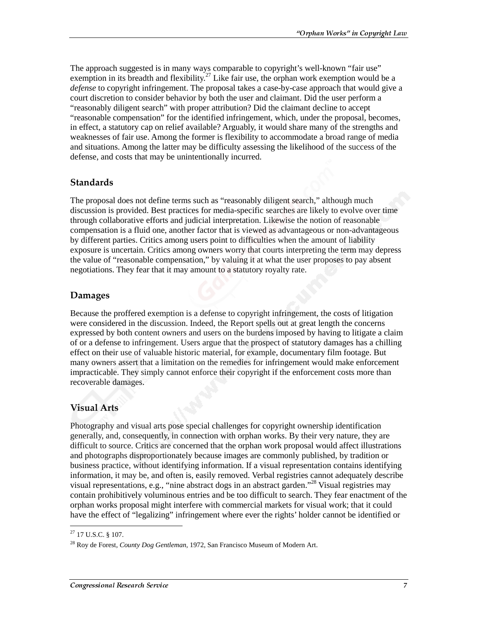The approach suggested is in many ways comparable to copyright's well-known "fair use" exemption in its breadth and flexibility.<sup>27</sup> Like fair use, the orphan work exemption would be a *defense* to copyright infringement. The proposal takes a case-by-case approach that would give a court discretion to consider behavior by both the user and claimant. Did the user perform a "reasonably diligent search" with proper attribution? Did the claimant decline to accept "reasonable compensation" for the identified infringement, which, under the proposal, becomes, in effect, a statutory cap on relief available? Arguably, it would share many of the strengths and weaknesses of fair use. Among the former is flexibility to accommodate a broad range of media and situations. Among the latter may be difficulty assessing the likelihood of the success of the defense, and costs that may be unintentionally incurred.

#### **Standards**

The proposal does not define terms such as "reasonably diligent search," although much discussion is provided. Best practices for media-specific searches are likely to evolve over time through collaborative efforts and judicial interpretation. Likewise the notion of reasonable compensation is a fluid one, another factor that is viewed as advantageous or non-advantageous by different parties. Critics among users point to difficulties when the amount of liability exposure is uncertain. Critics among owners worry that courts interpreting the term may depress the value of "reasonable compensation," by valuing it at what the user proposes to pay absent negotiations. They fear that it may amount to a statutory royalty rate.

#### **Damages**

Because the proffered exemption is a defense to copyright infringement, the costs of litigation were considered in the discussion. Indeed, the Report spells out at great length the concerns expressed by both content owners and users on the burdens imposed by having to litigate a claim of or a defense to infringement. Users argue that the prospect of statutory damages has a chilling effect on their use of valuable historic material, for example, documentary film footage. But many owners assert that a limitation on the remedies for infringement would make enforcement impracticable. They simply cannot enforce their copyright if the enforcement costs more than recoverable damages.

### Visual Arts

Photography and visual arts pose special challenges for copyright ownership identification generally, and, consequently, in connection with orphan works. By their very nature, they are difficult to source. Critics are concerned that the orphan work proposal would affect illustrations and photographs disproportionately because images are commonly published, by tradition or business practice, without identifying information. If a visual representation contains identifying information, it may be, and often is, easily removed. Verbal registries cannot adequately describe visual representations, e.g., "nine abstract dogs in an abstract garden."28 Visual registries may contain prohibitively voluminous entries and be too difficult to search. They fear enactment of the orphan works proposal might interfere with commercial markets for visual work; that it could have the effect of "legalizing" infringement where ever the rights' holder cannot be identified or

 $\overline{a}$  $27$  17 U.S.C. § 107.

<sup>28</sup> Roy de Forest, *County Dog Gentleman,* 1972, San Francisco Museum of Modern Art.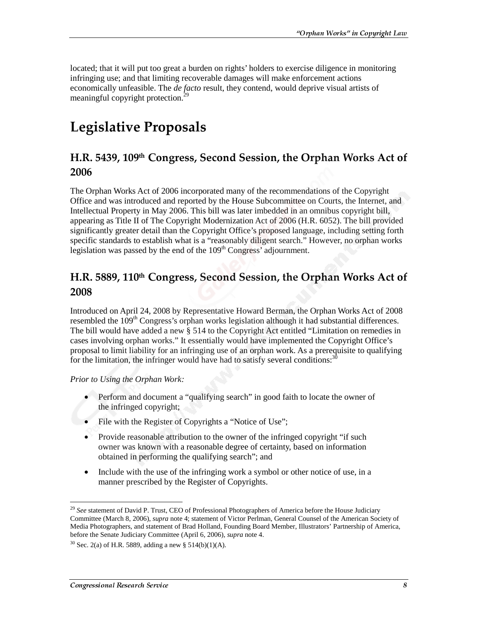located; that it will put too great a burden on rights' holders to exercise diligence in monitoring infringing use; and that limiting recoverable damages will make enforcement actions economically unfeasible. The *de facto* result, they contend, would deprive visual artists of meaningful copyright protection.<sup>29</sup>

# **Legislative Proposals**

### H.R. 5439, 109th Congress, Second Session, the Orphan Works Act of 2006

The Orphan Works Act of 2006 incorporated many of the recommendations of the Copyright Office and was introduced and reported by the House Subcommittee on Courts, the Internet, and Intellectual Property in May 2006. This bill was later imbedded in an omnibus copyright bill, appearing as Title II of The Copyright Modernization Act of 2006 (H.R. 6052). The bill provided significantly greater detail than the Copyright Office's proposed language, including setting forth specific standards to establish what is a "reasonably diligent search." However, no orphan works legislation was passed by the end of the  $109<sup>th</sup> Congress'$  adjournment.

### H.R. 5889, 110th Congress, Second Session, the Orphan Works Act of 2008

Introduced on April 24, 2008 by Representative Howard Berman, the Orphan Works Act of 2008 resembled the  $109<sup>th</sup>$  Congress's orphan works legislation although it had substantial differences. The bill would have added a new § 514 to the Copyright Act entitled "Limitation on remedies in cases involving orphan works." It essentially would have implemented the Copyright Office's proposal to limit liability for an infringing use of an orphan work. As a prerequisite to qualifying for the limitation, the infringer would have had to satisfy several conditions:  $30$ 

*Prior to Using the Orphan Work:*

- Perform and document a "qualifying search" in good faith to locate the owner of the infringed copyright;
- File with the Register of Copyrights a "Notice of Use";
- Provide reasonable attribution to the owner of the infringed copyright "if such owner was known with a reasonable degree of certainty, based on information obtained in performing the qualifying search"; and
- Include with the use of the infringing work a symbol or other notice of use, in a manner prescribed by the Register of Copyrights.

<sup>&</sup>lt;sup>29</sup> See statement of David P. Trust, CEO of Professional Photographers of America before the House Judiciary Committee (March 8, 2006), *supra* note 4; statement of Victor Perlman, General Counsel of the American Society of Media Photographers, and statement of Brad Holland, Founding Board Member, Illustrators' Partnership of America, before the Senate Judiciary Committee (April 6, 2006), *supra* note 4.

 $30$  Sec. 2(a) of H.R. 5889, adding a new § 514(b)(1)(A).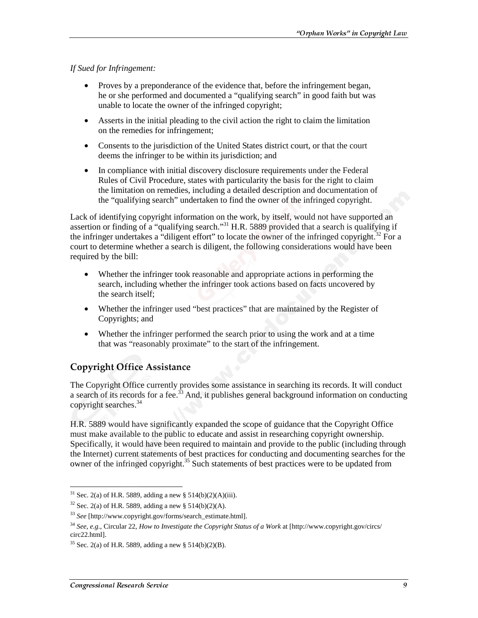*If Sued for Infringement:* 

- Proves by a preponderance of the evidence that, before the infringement began, he or she performed and documented a "qualifying search" in good faith but was unable to locate the owner of the infringed copyright;
- Asserts in the initial pleading to the civil action the right to claim the limitation on the remedies for infringement;
- Consents to the jurisdiction of the United States district court, or that the court deems the infringer to be within its jurisdiction; and
- In compliance with initial discovery disclosure requirements under the Federal Rules of Civil Procedure, states with particularity the basis for the right to claim the limitation on remedies, including a detailed description and documentation of the "qualifying search" undertaken to find the owner of the infringed copyright.

Lack of identifying copyright information on the work, by itself, would not have supported an assertion or finding of a "qualifying search."<sup>31</sup> H.R. 5889 provided that a search is qualifying if the infringer undertakes a "diligent effort" to locate the owner of the infringed copyright.<sup>32</sup> For a court to determine whether a search is diligent, the following considerations would have been required by the bill:

- Whether the infringer took reasonable and appropriate actions in performing the search, including whether the infringer took actions based on facts uncovered by the search itself;
- Whether the infringer used "best practices" that are maintained by the Register of Copyrights; and
- Whether the infringer performed the search prior to using the work and at a time that was "reasonably proximate" to the start of the infringement.

### **Copyright Office Assistance**

The Copyright Office currently provides some assistance in searching its records. It will conduct a search of its records for a fee.<sup>33</sup> And, it publishes general background information on conducting copyright searches.<sup>34</sup>

H.R. 5889 would have significantly expanded the scope of guidance that the Copyright Office must make available to the public to educate and assist in researching copyright ownership. Specifically, it would have been required to maintain and provide to the public (including through the Internet) current statements of best practices for conducting and documenting searches for the owner of the infringed copyright.<sup>35</sup> Such statements of best practices were to be updated from

 $\overline{a}$ <sup>31</sup> Sec. 2(a) of H.R. 5889, adding a new § 514(b)(2)(A)(iii).

<sup>&</sup>lt;sup>32</sup> Sec. 2(a) of H.R. 5889, adding a new § 514(b)(2)(A).

<sup>33</sup> *See* [http://www.copyright.gov/forms/search\_estimate.html].

<sup>34</sup> *See*, *e.g.*, Circular 22, *How to Investigate the Copyright Status of a Work* at [http://www.copyright.gov/circs/ circ22.html].

 $35$  Sec. 2(a) of H.R. 5889, adding a new § 514(b)(2)(B).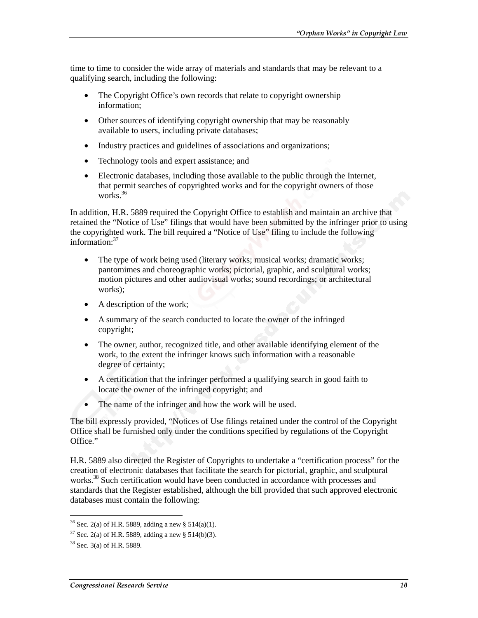time to time to consider the wide array of materials and standards that may be relevant to a qualifying search, including the following:

- The Copyright Office's own records that relate to copyright ownership information;
- Other sources of identifying copyright ownership that may be reasonably available to users, including private databases;
- Industry practices and guidelines of associations and organizations;
- Technology tools and expert assistance; and
- Electronic databases, including those available to the public through the Internet, that permit searches of copyrighted works and for the copyright owners of those works. $36$

In addition, H.R. 5889 required the Copyright Office to establish and maintain an archive that retained the "Notice of Use" filings that would have been submitted by the infringer prior to using the copyrighted work. The bill required a "Notice of Use" filing to include the following information:<sup>37</sup>

- The type of work being used (literary works; musical works; dramatic works; pantomimes and choreographic works; pictorial, graphic, and sculptural works; motion pictures and other audiovisual works; sound recordings; or architectural works);
- A description of the work;
- A summary of the search conducted to locate the owner of the infringed copyright;
- The owner, author, recognized title, and other available identifying element of the work, to the extent the infringer knows such information with a reasonable degree of certainty;
- A certification that the infringer performed a qualifying search in good faith to locate the owner of the infringed copyright; and
- The name of the infringer and how the work will be used.

The bill expressly provided, "Notices of Use filings retained under the control of the Copyright Office shall be furnished only under the conditions specified by regulations of the Copyright Office."

H.R. 5889 also directed the Register of Copyrights to undertake a "certification process" for the creation of electronic databases that facilitate the search for pictorial, graphic, and sculptural works.<sup>38</sup> Such certification would have been conducted in accordance with processes and standards that the Register established, although the bill provided that such approved electronic databases must contain the following:

<sup>&</sup>lt;sup>36</sup> Sec. 2(a) of H.R. 5889, adding a new § 514(a)(1).

 $37$  Sec. 2(a) of H.R. 5889, adding a new § 514(b)(3).

<sup>38</sup> Sec. 3(a) of H.R. 5889.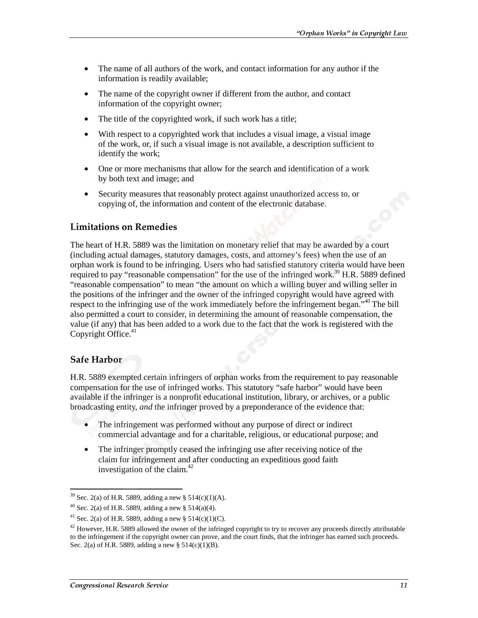- The name of all authors of the work, and contact information for any author if the information is readily available;
- The name of the copyright owner if different from the author, and contact information of the copyright owner;
- The title of the copyrighted work, if such work has a title;
- With respect to a copyrighted work that includes a visual image, a visual image of the work, or, if such a visual image is not available, a description sufficient to identify the work;
- One or more mechanisms that allow for the search and identification of a work by both text and image; and
- Security measures that reasonably protect against unauthorized access to, or copying of, the information and content of the electronic database.

### **Limitations on Remedies**

The heart of H.R. 5889 was the limitation on monetary relief that may be awarded by a court (including actual damages, statutory damages, costs, and attorney's fees) when the use of an orphan work is found to be infringing. Users who had satisfied statutory criteria would have been required to pay "reasonable compensation" for the use of the infringed work.<sup>39</sup> H.R. 5889 defined "reasonable compensation" to mean "the amount on which a willing buyer and willing seller in the positions of the infringer and the owner of the infringed copyright would have agreed with respect to the infringing use of the work immediately before the infringement began."<sup>40</sup> The bill also permitted a court to consider, in determining the amount of reasonable compensation, the value (if any) that has been added to a work due to the fact that the work is registered with the Copyright Office.<sup>41</sup>

#### **Safe Harbor**

 $\overline{a}$ 

H.R. 5889 exempted certain infringers of orphan works from the requirement to pay reasonable compensation for the use of infringed works. This statutory "safe harbor" would have been available if the infringer is a nonprofit educational institution, library, or archives, or a public broadcasting entity, *and* the infringer proved by a preponderance of the evidence that:

- The infringement was performed without any purpose of direct or indirect commercial advantage and for a charitable, religious, or educational purpose; and
- The infringer promptly ceased the infringing use after receiving notice of the claim for infringement and after conducting an expeditious good faith investigation of the claim.<sup>42</sup>

<sup>&</sup>lt;sup>39</sup> Sec. 2(a) of H.R. 5889, adding a new § 514(c)(1)(A).

<sup>&</sup>lt;sup>40</sup> Sec. 2(a) of H.R. 5889, adding a new § 514(a)(4).

<sup>&</sup>lt;sup>41</sup> Sec. 2(a) of H.R. 5889, adding a new § 514(c)(1)(C).

 $42$  However, H.R. 5889 allowed the owner of the infringed copyright to try to recover any proceeds directly attributable to the infringement if the copyright owner can prove, and the court finds, that the infringer has earned such proceeds. Sec. 2(a) of H.R. 5889, adding a new § 514(c)(1)(B).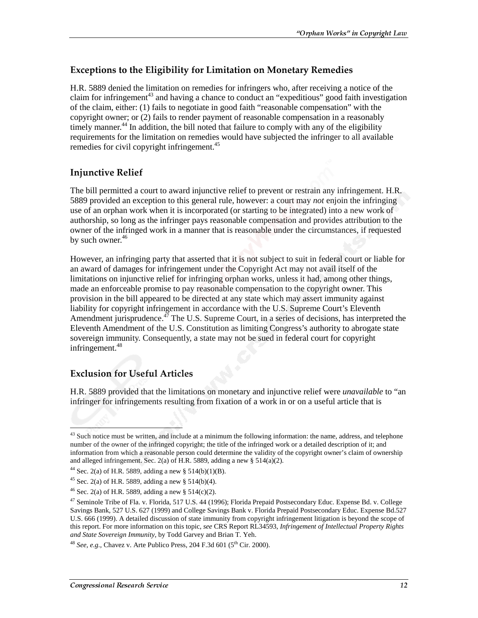### Exceptions to the Eligibility for Limitation on Monetary Remedies

H.R. 5889 denied the limitation on remedies for infringers who, after receiving a notice of the claim for infringement<sup>43</sup> and having a chance to conduct an "expeditious" good faith investigation of the claim, either: (1) fails to negotiate in good faith "reasonable compensation" with the copyright owner; or (2) fails to render payment of reasonable compensation in a reasonably timely manner.<sup>44</sup> In addition, the bill noted that failure to comply with any of the eligibility requirements for the limitation on remedies would have subjected the infringer to all available remedies for civil copyright infringement.<sup>45</sup>

### **Injunctive Relief**

The bill permitted a court to award injunctive relief to prevent or restrain any infringement. H.R. 5889 provided an exception to this general rule, however: a court may *not* enjoin the infringing use of an orphan work when it is incorporated (or starting to be integrated) into a new work of authorship, so long as the infringer pays reasonable compensation and provides attribution to the owner of the infringed work in a manner that is reasonable under the circumstances, if requested by such owner. $46$ 

However, an infringing party that asserted that it is not subject to suit in federal court or liable for an award of damages for infringement under the Copyright Act may not avail itself of the limitations on injunctive relief for infringing orphan works, unless it had, among other things, made an enforceable promise to pay reasonable compensation to the copyright owner. This provision in the bill appeared to be directed at any state which may assert immunity against liability for copyright infringement in accordance with the U.S. Supreme Court's Eleventh Amendment jurisprudence. $^{47}$  The U.S. Supreme Court, in a series of decisions, has interpreted the Eleventh Amendment of the U.S. Constitution as limiting Congress's authority to abrogate state sovereign immunity. Consequently, a state may not be sued in federal court for copyright infringement.<sup>48</sup>

### Exclusion for Useful Articles

H.R. 5889 provided that the limitations on monetary and injunctive relief were *unavailable* to "an infringer for infringements resulting from fixation of a work in or on a useful article that is

j  $43$  Such notice must be written, and include at a minimum the following information: the name, address, and telephone number of the owner of the infringed copyright; the title of the infringed work or a detailed description of it; and information from which a reasonable person could determine the validity of the copyright owner's claim of ownership and alleged infringement. Sec. 2(a) of H.R. 5889, adding a new  $\S$  514(a)(2).

<sup>&</sup>lt;sup>44</sup> Sec. 2(a) of H.R. 5889, adding a new § 514(b)(1)(B).

<sup>&</sup>lt;sup>45</sup> Sec. 2(a) of H.R. 5889, adding a new § 514(b)(4).

<sup>&</sup>lt;sup>46</sup> Sec. 2(a) of H.R. 5889, adding a new § 514(c)(2).

<sup>&</sup>lt;sup>47</sup> Seminole Tribe of Fla. v. Florida, 517 U.S. 44 (1996); Florida Prepaid Postsecondary Educ. Expense Bd. v. College Savings Bank, 527 U.S. 627 (1999) and College Savings Bank v. Florida Prepaid Postsecondary Educ. Expense Bd.527 U.S. 666 (1999). A detailed discussion of state immunity from copyright infringement litigation is beyond the scope of this report. For more information on this topic, *see* CRS Report RL34593, *Infringement of Intellectual Property Rights and State Sovereign Immunity*, by Todd Garvey and Brian T. Yeh.

<sup>&</sup>lt;sup>48</sup> *See, e.g.,* Chavez v. Arte Publico Press, 204 F.3d 601 ( $5^{th}$  Cir. 2000).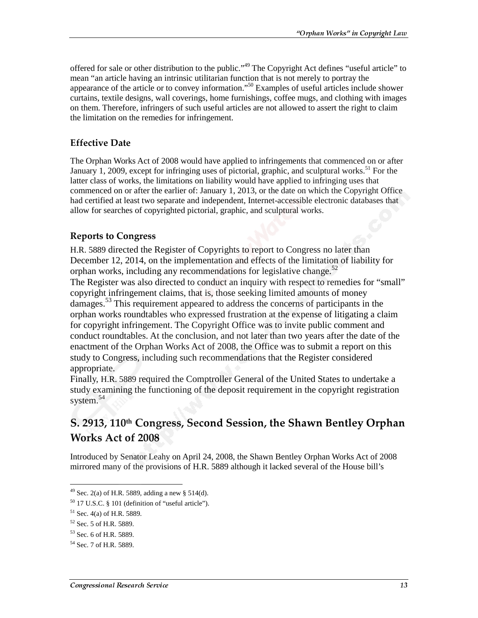offered for sale or other distribution to the public."49 The Copyright Act defines "useful article" to mean "an article having an intrinsic utilitarian function that is not merely to portray the appearance of the article or to convey information."50 Examples of useful articles include shower curtains, textile designs, wall coverings, home furnishings, coffee mugs, and clothing with images on them. Therefore, infringers of such useful articles are not allowed to assert the right to claim the limitation on the remedies for infringement.

### **Effective Date**

The Orphan Works Act of 2008 would have applied to infringements that commenced on or after January 1, 2009, except for infringing uses of pictorial, graphic, and sculptural works.<sup>51</sup> For the latter class of works, the limitations on liability would have applied to infringing uses that commenced on or after the earlier of: January 1, 2013, or the date on which the Copyright Office had certified at least two separate and independent, Internet-accessible electronic databases that allow for searches of copyrighted pictorial, graphic, and sculptural works.

#### **Reports to Congress**

H.R. 5889 directed the Register of Copyrights to report to Congress no later than December 12, 2014, on the implementation and effects of the limitation of liability for orphan works, including any recommendations for legislative change.<sup>52</sup> The Register was also directed to conduct an inquiry with respect to remedies for "small" copyright infringement claims, that is, those seeking limited amounts of money damages.<sup>53</sup> This requirement appeared to address the concerns of participants in the orphan works roundtables who expressed frustration at the expense of litigating a claim for copyright infringement. The Copyright Office was to invite public comment and conduct roundtables. At the conclusion, and not later than two years after the date of the enactment of the Orphan Works Act of 2008, the Office was to submit a report on this study to Congress, including such recommendations that the Register considered appropriate.

Finally, H.R. 5889 required the Comptroller General of the United States to undertake a study examining the functioning of the deposit requirement in the copyright registration system.<sup>54</sup>

# S. 2913, 110th Congress, Second Session, the Shawn Bentley Orphan Works Act of 2008

Introduced by Senator Leahy on April 24, 2008, the Shawn Bentley Orphan Works Act of 2008 mirrored many of the provisions of H.R. 5889 although it lacked several of the House bill's

<sup>&</sup>lt;sup>49</sup> Sec. 2(a) of H.R. 5889, adding a new § 514(d).

 $50$  17 U.S.C. § 101 (definition of "useful article").

 $51$  Sec. 4(a) of H.R. 5889.

<sup>&</sup>lt;sup>52</sup> Sec. 5 of H.R. 5889.

 $53$  Sec. 6 of HR 5889.

<sup>54</sup> Sec. 7 of H.R. 5889.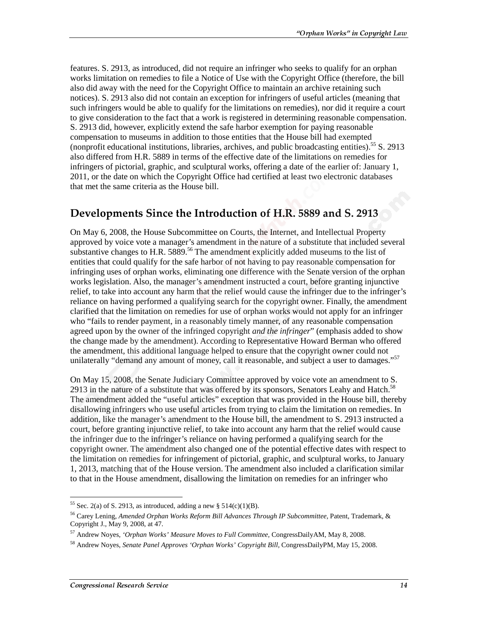features. S. 2913, as introduced, did not require an infringer who seeks to qualify for an orphan works limitation on remedies to file a Notice of Use with the Copyright Office (therefore, the bill also did away with the need for the Copyright Office to maintain an archive retaining such notices). S. 2913 also did not contain an exception for infringers of useful articles (meaning that such infringers would be able to qualify for the limitations on remedies), nor did it require a court to give consideration to the fact that a work is registered in determining reasonable compensation. S. 2913 did, however, explicitly extend the safe harbor exemption for paying reasonable compensation to museums in addition to those entities that the House bill had exempted (nonprofit educational institutions, libraries, archives, and public broadcasting entities).55 S. 2913 also differed from H.R. 5889 in terms of the effective date of the limitations on remedies for infringers of pictorial, graphic, and sculptural works, offering a date of the earlier of: January 1, 2011, or the date on which the Copyright Office had certified at least two electronic databases that met the same criteria as the House bill.

### Developments Since the Introduction of H.R. 5889 and S. 2913

On May 6, 2008, the House Subcommittee on Courts, the Internet, and Intellectual Property approved by voice vote a manager's amendment in the nature of a substitute that included several substantive changes to H.R. 5889.<sup>56</sup> The amendment explicitly added museums to the list of entities that could qualify for the safe harbor of not having to pay reasonable compensation for infringing uses of orphan works, eliminating one difference with the Senate version of the orphan works legislation. Also, the manager's amendment instructed a court, before granting injunctive relief, to take into account any harm that the relief would cause the infringer due to the infringer's reliance on having performed a qualifying search for the copyright owner. Finally, the amendment clarified that the limitation on remedies for use of orphan works would not apply for an infringer who "fails to render payment, in a reasonably timely manner, of any reasonable compensation agreed upon by the owner of the infringed copyright *and the infringer*" (emphasis added to show the change made by the amendment). According to Representative Howard Berman who offered the amendment, this additional language helped to ensure that the copyright owner could not unilaterally "demand any amount of money, call it reasonable, and subject a user to damages."<sup>57</sup>

On May 15, 2008, the Senate Judiciary Committee approved by voice vote an amendment to S. 2913 in the nature of a substitute that was offered by its sponsors, Senators Leahy and Hatch.<sup>58</sup> The amendment added the "useful articles" exception that was provided in the House bill, thereby disallowing infringers who use useful articles from trying to claim the limitation on remedies. In addition, like the manager's amendment to the House bill, the amendment to S. 2913 instructed a court, before granting injunctive relief, to take into account any harm that the relief would cause the infringer due to the infringer's reliance on having performed a qualifying search for the copyright owner. The amendment also changed one of the potential effective dates with respect to the limitation on remedies for infringement of pictorial, graphic, and sculptural works, to January 1, 2013, matching that of the House version. The amendment also included a clarification similar to that in the House amendment, disallowing the limitation on remedies for an infringer who

 $\overline{a}$ <sup>55</sup> Sec. 2(a) of S. 2913, as introduced, adding a new § 514(c)(1)(B).

<sup>56</sup> Carey Lening, *Amended Orphan Works Reform Bill Advances Through IP Subcommittee,* Patent, Trademark, & Copyright J., May 9, 2008, at 47.

<sup>57</sup> Andrew Noyes, *'Orphan Works' Measure Moves to Full Committee,* CongressDailyAM, May 8, 2008.

<sup>58</sup> Andrew Noyes, *Senate Panel Approves 'Orphan Works' Copyright Bill,* CongressDailyPM, May 15, 2008.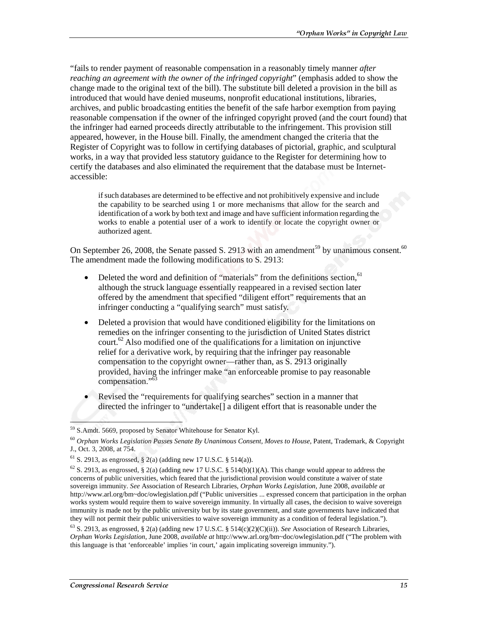"fails to render payment of reasonable compensation in a reasonably timely manner *after reaching an agreement with the owner of the infringed copyright*" (emphasis added to show the change made to the original text of the bill). The substitute bill deleted a provision in the bill as introduced that would have denied museums, nonprofit educational institutions, libraries, archives, and public broadcasting entities the benefit of the safe harbor exemption from paying reasonable compensation if the owner of the infringed copyright proved (and the court found) that the infringer had earned proceeds directly attributable to the infringement. This provision still appeared, however, in the House bill. Finally, the amendment changed the criteria that the Register of Copyright was to follow in certifying databases of pictorial, graphic, and sculptural works, in a way that provided less statutory guidance to the Register for determining how to certify the databases and also eliminated the requirement that the database must be Internetaccessible:

if such databases are determined to be effective and not prohibitively expensive and include the capability to be searched using 1 or more mechanisms that allow for the search and identification of a work by both text and image and have sufficient information regarding the works to enable a potential user of a work to identify or locate the copyright owner or authorized agent.

On September 26, 2008, the Senate passed S. 2913 with an amendment<sup>59</sup> by unanimous consent.<sup>60</sup> The amendment made the following modifications to S. 2913:

- Deleted the word and definition of "materials" from the definitions section,  $61$ although the struck language essentially reappeared in a revised section later offered by the amendment that specified "diligent effort" requirements that an infringer conducting a "qualifying search" must satisfy.
- Deleted a provision that would have conditioned eligibility for the limitations on remedies on the infringer consenting to the jurisdiction of United States district  $\text{court.}^{62}$  Also modified one of the qualifications for a limitation on injunctive relief for a derivative work, by requiring that the infringer pay reasonable compensation to the copyright owner—rather than, as S. 2913 originally provided, having the infringer make "an enforceable promise to pay reasonable compensation."<sup>63</sup>
- Revised the "requirements for qualifying searches" section in a manner that directed the infringer to "undertake[] a diligent effort that is reasonable under the

l

<sup>&</sup>lt;sup>59</sup> S.Amdt. 5669, proposed by Senator Whitehouse for Senator Kyl.

<sup>60</sup> *Orphan Works Legislation Passes Senate By Unanimous Consent, Moves to House,* Patent, Trademark, & Copyright J., Oct. 3, 2008, at 754.

<sup>&</sup>lt;sup>61</sup> S. 2913, as engrossed, § 2(a) (adding new 17 U.S.C. § 514(a)).

 $^{62}$  S. 2913, as engrossed, § 2(a) (adding new 17 U.S.C. § 514(b)(1)(A). This change would appear to address the concerns of public universities, which feared that the jurisdictional provision would constitute a waiver of state sovereign immunity. *See* Association of Research Libraries, *Orphan Works Legislation*, June 2008, *available at* http://www.arl.org/bm~doc/owlegislation.pdf ("Public universities ... expressed concern that participation in the orphan works system would require them to waive sovereign immunity. In virtually all cases, the decision to waive sovereign immunity is made not by the public university but by its state government, and state governments have indicated that they will not permit their public universities to waive sovereign immunity as a condition of federal legislation.").

<sup>63</sup> S. 2913, as engrossed, § 2(a) (adding new 17 U.S.C. § 514(c)(2)(C)(ii)). *See* Association of Research Libraries, *Orphan Works Legislation*, June 2008, *available at* http://www.arl.org/bm~doc/owlegislation.pdf ("The problem with this language is that 'enforceable' implies 'in court,' again implicating sovereign immunity.").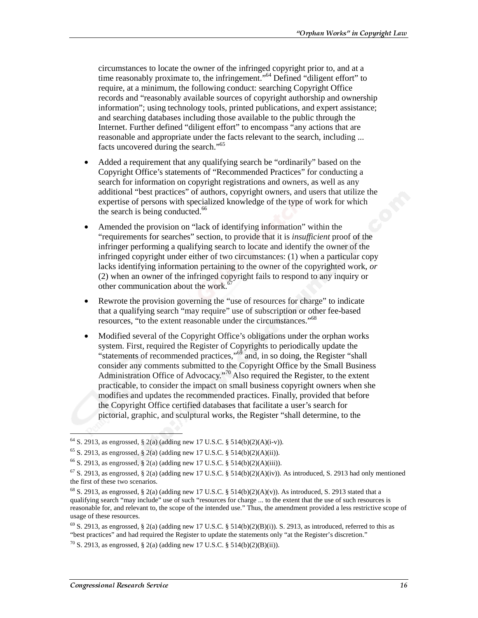circumstances to locate the owner of the infringed copyright prior to, and at a time reasonably proximate to, the infringement.<sup>"64</sup> Defined "diligent effort" to require, at a minimum, the following conduct: searching Copyright Office records and "reasonably available sources of copyright authorship and ownership information"; using technology tools, printed publications, and expert assistance; and searching databases including those available to the public through the Internet. Further defined "diligent effort" to encompass "any actions that are reasonable and appropriate under the facts relevant to the search, including ... facts uncovered during the search."65

- Added a requirement that any qualifying search be "ordinarily" based on the Copyright Office's statements of "Recommended Practices" for conducting a search for information on copyright registrations and owners, as well as any additional "best practices" of authors, copyright owners, and users that utilize the expertise of persons with specialized knowledge of the type of work for which the search is being conducted. $66$
- Amended the provision on "lack of identifying information" within the "requirements for searches" section, to provide that it is *insufficient* proof of the infringer performing a qualifying search to locate and identify the owner of the infringed copyright under either of two circumstances: (1) when a particular copy lacks identifying information pertaining to the owner of the copyrighted work, *or*  (2) when an owner of the infringed copyright fails to respond to any inquiry or other communication about the work.<sup>6</sup>
- Rewrote the provision governing the "use of resources for charge" to indicate that a qualifying search "may require" use of subscription or other fee-based resources, "to the extent reasonable under the circumstances."<sup>68</sup>
- Modified several of the Copyright Office's obligations under the orphan works system. First, required the Register of Copyrights to periodically update the "statements of recommended practices,"69 and, in so doing, the Register "shall consider any comments submitted to the Copyright Office by the Small Business Administration Office of Advocacy."<sup>70</sup> Also required the Register, to the extent practicable, to consider the impact on small business copyright owners when she modifies and updates the recommended practices. Finally, provided that before the Copyright Office certified databases that facilitate a user's search for pictorial, graphic, and sculptural works, the Register "shall determine, to the

 $^{64}$  S. 2913, as engrossed, § 2(a) (adding new 17 U.S.C. § 514(b)(2)(A)(i-v)).

 $^{65}$  S. 2913, as engrossed, § 2(a) (adding new 17 U.S.C. § 514(b)(2)(A)(ii)).

 $66$  S. 2913, as engrossed, § 2(a) (adding new 17 U.S.C. § 514(b)(2)(A)(iii)).

 $67$  S. 2913, as engrossed, § 2(a) (adding new 17 U.S.C. § 514(b)(2)(A)(iv)). As introduced, S. 2913 had only mentioned the first of these two scenarios.

<sup>&</sup>lt;sup>68</sup> S. 2913, as engrossed, § 2(a) (adding new 17 U.S.C. § 514(b)(2)(A)(v)). As introduced, S. 2913 stated that a qualifying search "may include" use of such "resources for charge ... to the extent that the use of such resources is reasonable for, and relevant to, the scope of the intended use." Thus, the amendment provided a less restrictive scope of usage of these resources.

 $^{69}$  S. 2913, as engrossed, § 2(a) (adding new 17 U.S.C. § 514(b)(2)(B)(i)). S. 2913, as introduced, referred to this as "best practices" and had required the Register to update the statements only "at the Register's discretion."

 $^{70}$  S. 2913, as engrossed, § 2(a) (adding new 17 U.S.C. § 514(b)(2)(B)(ii)).